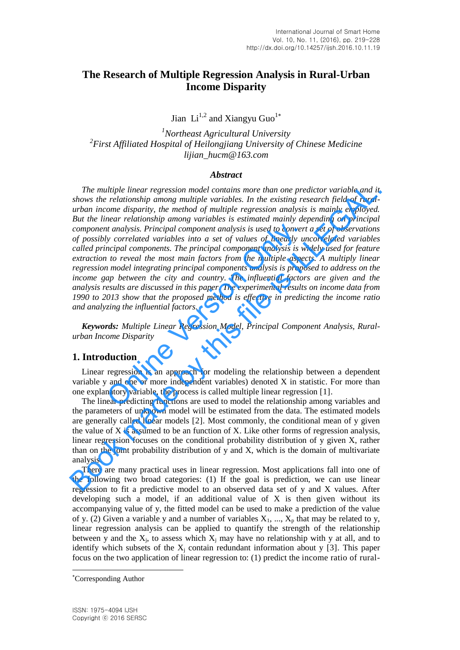# **The Research of Multiple Regression Analysis in Rural-Urban Income Disparity**

Jian  $Li^{1,2}$  and Xiangyu Guo<sup>1\*</sup>

*<sup>1</sup>Northeast Agricultural University 2 First Affiliated Hospital of Heilongjiang University of Chinese Medicine lijian\_hucm@163.com* 

#### *Abstract*

*The multiple linear regression model contains more than one predictor variable and it shows the relationship among multiple variables. In the existing research field of ruralurban income disparity, the method of multiple regression analysis is mainly employed. But the linear relationship among variables is estimated mainly depending on principal component analysis. Principal component analysis is used to convert a set of observations of possibly correlated variables into a set of values of linearly uncorrelated variables called principal components. The principal component analysis is widely used for feature extraction to reveal the most main factors from the multiple aspects. A multiply linear regression model integrating principal components analysis is proposed to address on the income gap between the city and country. The influential factors are given and the analysis results are discussed in this paper. The experimental results on income data from 1990 to 2013 show that the proposed method is effective in predicting the income ratio and analyzing the influential factors.*  at analysis. Principal component analysis is used to convertly correlated variables into a set of values of linearly uncipal components. The principal component analysis is we not reveal the most main factors from the mult The multiple linear regression model contains more than one predictor variable and it stows the relationship among multiple variables. In the existing research field of rural station is the method of multiple regression a

*Keywords: Multiple Linear Regression Model, Principal Component Analysis, Ruralurban Income Disparity* 

# **1. Introduction**

Linear regression is an approach for modeling the relationship between a dependent variable y and one or more independent variables) denoted X in statistic. For more than one explanatory variable, the process is called multiple linear regression [1].

The linear predicting functions are used to model the relationship among variables and the parameters of unknown model will be estimated from the data. The estimated models are generally called linear models [2]. Most commonly, the conditional mean of y given the value of X is assumed to be an function of X. Like other forms of regression analysis, linear regression focuses on the conditional probability distribution of y given X, rather than on the joint probability distribution of y and X, which is the domain of multivariate analysis.

There are many practical uses in linear regression. Most applications fall into one of the following two broad categories: (1) If the goal is prediction, we can use linear regression to fit a predictive model to an observed data set of y and X values. After developing such a model, if an additional value of  $X$  is then given without its accompanying value of y, the fitted model can be used to make a prediction of the value of y. (2) Given a variable y and a number of variables  $X_1$ , ...,  $X_p$  that may be related to y, linear regression analysis can be applied to quantify the strength of the relationship between y and the  $X_j$ , to assess which  $X_j$  may have no relationship with y at all, and to identify which subsets of the  $X_j$  contain redundant information about y [3]. This paper focus on the two application of linear regression to: (1) predict the income ratio of rural-

l

Corresponding Author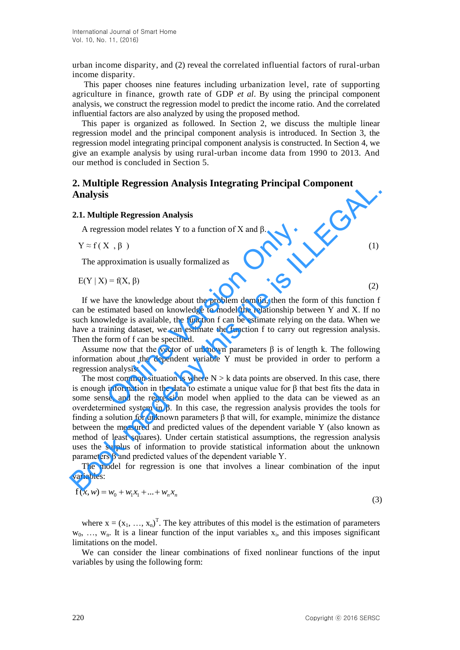urban income disparity, and (2) reveal the correlated influential factors of rural-urban income disparity.

This paper chooses nine features including urbanization level, rate of supporting agriculture in finance, growth rate of GDP *et al*. By using the principal component analysis, we construct the regression model to predict the income ratio. And the correlated influential factors are also analyzed by using the proposed method.

This paper is organized as followed. In Section 2, we discuss the multiple linear regression model and the principal component analysis is introduced. In Section 3, the regression model integrating principal component analysis is constructed. In Section 4, we give an example analysis by using rural-urban income data from 1990 to 2013. And our method is concluded in Section 5.

# **2. Multiple Regression Analysis Integrating Principal Component Analysis**

#### **2.1. Multiple Regression Analysis**

A regression model relates Y to a function of X and β.

$$
Y \approx f(X, \beta) \tag{1}
$$

The approximation is usually formalized as

$$
E(Y | X) = f(X, \beta)
$$
 (2)

If we have the knowledge about the problem domain, then the form of this function f can be estimated based on knowledge to model the relationship between Y and X. If no such knowledge is available, the function f can be estimate relying on the data. When we have a training dataset, we can estimate the function f to carry out regression analysis. Then the form of f can be specified. Example 1 relates Y to a function of X and  $\beta$ .<br>  $(X, \beta)$ <br>
proximation is usually formalized as<br>  $0 = f(X, \beta)$ <br>
have the knowledge about the problem domain, then the fortimated based on knowledge to model the relationship be

Assume now that the vector of unknown parameters  $\beta$  is of length k. The following information about the dependent variable Y must be provided in order to perform a regression analysis:

The most common situation is where  $N > k$  data points are observed. In this case, there is enough information in the data to estimate a unique value for  $\beta$  that best fits the data in some sense, and the regression model when applied to the data can be viewed as an overdetermined system in β. In this case, the regression analysis provides the tools for finding a solution for unknown parameters β that will, for example, minimize the distance between the measured and predicted values of the dependent variable Y (also known as method of least squares). Under certain statistical assumptions, the regression analysis uses the surplus of information to provide statistical information about the unknown parameters β and predicted values of the dependent variable Y. 2. Nuturing **Expression Analysis integrating Principal Component**<br> **Analysis**<br> **Analysis**<br> **A. Nutliple Regression Analysis**<br>  $\sqrt{8}$  exergession model relates Y to a function of X and β.<br>  $\sqrt{8}$  exergession model relat

The model for regression is one that involves a linear combination of the input variables:

$$
f(x, w) = w_0 + w_1 x_1 + \dots + w_n x_n
$$
\n(3)

where  $x = (x_1, ..., x_n)^T$ . The key attributes of this model is the estimation of parameters  $w_0, \ldots, w_n$ . It is a linear function of the input variables  $x_i$ , and this imposes significant limitations on the model.

We can consider the linear combinations of fixed nonlinear functions of the input variables by using the following form: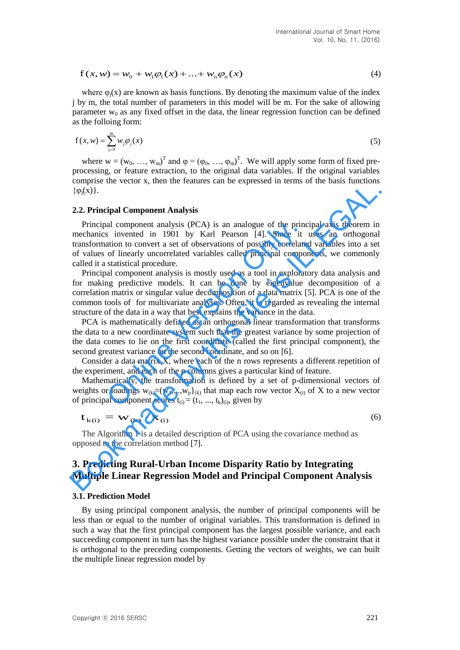$$
f(x, w) = w_0 + w_1 \varphi_1(x) + ... + w_n \varphi_n(x)
$$
\n(4)

where  $\varphi_i(x)$  are known as basis functions. By denoting the maximum value of the index j by m, the total number of parameters in this model will be m. For the sake of allowing parameter  $w_0$  as any fixed offset in the data, the linear regression function can be defined as the folloing form:

$$
f(x, w) = \sum_{j=0}^{m} w_j \varphi_j(x)
$$
 (5)

where  $w = (w_0, ..., w_m)^T$  and  $\varphi = (\varphi_0, ..., \varphi_m)^T$ . We will apply some form of fixed preprocessing, or feature extraction, to the original data variables. If the original variables comprise the vector x, then the features can be expressed in terms of the basis functions  $\{\varphi_i(x)\}.$ 

#### **2.2. Principal Component Analysis**

Principal component analysis (PCA) is an analogue of the principal axis theorem in mechanics invented in 1901 by Karl Pearson [4]. Since it uses an orthogonal transformation to convert a set of observations of possibly correlated variables into a set of values of linearly uncorrelated variables called principal components, we commonly called it a statistical procedure. ( $\phi_i(x)$ ).<br>
2.2. Principal Component Analysis<br>
Principal component Analysis<br>
Principal component Analysis<br>
Principal component analysis<br>
Principal component analysis<br>
Transformation to convert a set of observations of pos

Principal component analysis is mostly used as a tool in exploratory data analysis and for making predictive models. It can be done by eigenvalue decomposition of a correlation matrix or singular value decomposition of a data matrix [5]. PCA is one of the common tools of for multivariate analyses. Often, it is regarded as revealing the internal structure of the data in a way that best explains the variance in the data. al component analysis (PCA) is an analogue of the princ<br>s invented in 1901 by Karl Pearson [4]. Since it<br>ation to convert a set of observations of possibly correlate<br>of linearly uncorrelated variables called principal com

PCA is mathematically defined as an orthogonal linear transformation that transforms the data to a new coordinate system such that the greatest variance by some projection of the data comes to lie on the first coordinate (called the first principal component), the second greatest variance on the second coordinate, and so on [6].

Consider a data matrix X, where each of the n rows represents a different repetition of the experiment, and each of the p columns gives a particular kind of feature.

Mathematically, the transformation is defined by a set of p-dimensional vectors of weights or loadings  $w_{(k)}=(w_1,...,w_p)_{(k)}$  that map each row vector  $X_{(i)}$  of X to a new vector of principal component scores  $t_{(i)} = (t_1, ..., t_k)_{(i)}$ , given by

$$
\mathbf{t}_{k(i)} = \mathbf{W}_{(k)} \cdot \mathbf{x}_{(i)}
$$
 (6)

The Algorithm 1 is a detailed description of PCA using the covariance method as opposed to the correlation method [7].

# **3. Predicting Rural-Urban Income Disparity Ratio by Integrating Multiple Linear Regression Model and Principal Component Analysis**

#### **3.1. Prediction Model**

 $f(x, w) = w_0 + w_1\varphi_1(x) + \ldots + w_n\varphi_n(x)$  (4<br>
where  $\varphi_1(x)$  are known as basis functions. By denoting the maximum value of the index<br>
force gival or known as basis functions. By denoting the maximum value of the index<br>
fly yn By using principal component analysis, the number of principal components will be less than or equal to the number of original variables. This transformation is defined in such a way that the first principal component has the largest possible variance, and each succeeding component in turn has the highest variance possible under the constraint that it is orthogonal to the preceding components. Getting the vectors of weights, we can built the multiple linear regression model by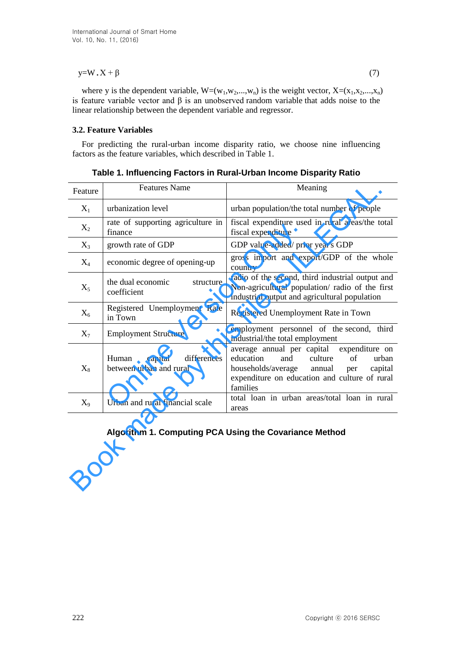## $y=W \cdot X + \beta$  (7)

where y is the dependent variable,  $W=(w_1,w_2,...,w_n)$  is the weight vector,  $X=(x_1,x_2,...,x_n)$ is feature variable vector and β is an unobserved [random variable](https://en.wikipedia.org/wiki/Random_variable) that adds noise to the linear relationship between the dependent variable and regressor.

## **3.2. Feature Variables**

For predicting the rural-urban income disparity ratio, we choose nine influencing factors as the feature variables, which described in Table 1.

| Feature | <b>Features Name</b>                                       | Meaning                                                                                                                                                                                                   |
|---------|------------------------------------------------------------|-----------------------------------------------------------------------------------------------------------------------------------------------------------------------------------------------------------|
| $X_1$   | urbanization level                                         | urban population/the total number of people                                                                                                                                                               |
| $X_2$   | rate of supporting agriculture in<br>finance               | fiscal expenditure used in rural areas/the total<br>fiscal expenditure                                                                                                                                    |
| $X_3$   | growth rate of GDP                                         | GDP value-added/ prior year's GDP                                                                                                                                                                         |
| $X_4$   | economic degree of opening-up                              | gross import and export/GDP of the whole<br>country                                                                                                                                                       |
| $X_5$   | the dual economic<br>structure<br>coefficient              | radio of the second, third industrial output and<br>Non-agricultural population/ radio of the first<br>industrial output and agricultural population                                                      |
| $X_6$   | Registered Unemployment Rate<br>in Town                    | Registered Unemployment Rate in Town                                                                                                                                                                      |
| $X_7$   | <b>Employment Structure</b>                                | employment personnel of the second, third<br>industrial/the total employment                                                                                                                              |
| $X_8$   | Human<br>capital<br>differences<br>between urban and rural | expenditure on<br>average annual per capital<br>education<br>culture<br>of<br>urban<br>and<br>households/average<br>annual<br>capital<br>per<br>expenditure on education and culture of rural<br>families |
| $X_9$   | Urban and rural financial scale                            | total loan in urban areas/total loan in rural<br>areas                                                                                                                                                    |
|         | Algorithm 1. Computing PCA Using the Covariance Method     |                                                                                                                                                                                                           |

**Table 1. Influencing Factors in Rural-Urban Income Disparity Ratio** 

# **Algorithm 1. Computing PCA Using the Covariance Method**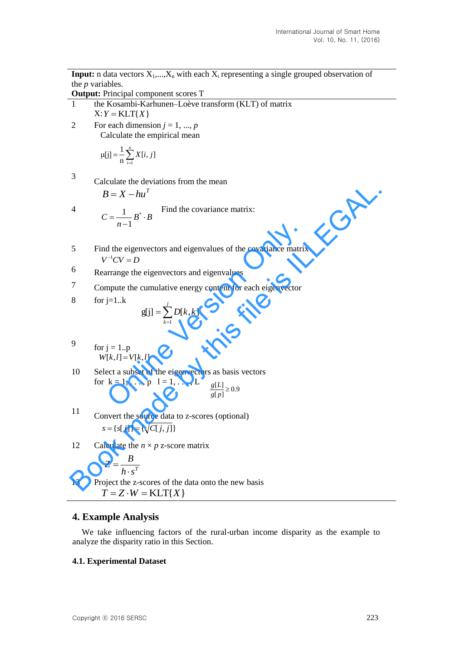**Input:** n data vectors  $X_1,...,X_n$  with each  $X_i$  representing a single grouped observation of the *p* variables.

**Output:** Principal component scores T

- 1 the [Kosambi-Karhunen–Loève](https://en.wikipedia.org/wiki/Karhunen%E2%80%93Lo%C3%A8ve_theorem) transform (KLT) of matrix  $X: Y = KLT{X}$
- 2 For each dimension  $j = 1, ..., p$ Calculate the empirical mean

$$
\mu[j] = \frac{1}{n} \sum_{i=1}^{n} X[i, j]
$$

3 Calculate the deviations from the mean

$$
B=X-hu^T
$$

4  $C = \begin{bmatrix} 1 & b^* & c \end{bmatrix}$  Find the covariance matrix:  $B^*\cdot B$ *n*  $C = \frac{1}{\cdot} B^*$ .  $\overline{a}$  $=\frac{1}{\cdot}B^*$ 1 1

- 5 Find the eigenvectors and eigenvalues of the covariance matrix  $V^{-1}CV = D$ *n*-1<br>
d the eigenvectors and eigenvalues of the covariance matrix<br>  $V^{-1}CV = D$ <br>
arrange the eigenvectors and eigenvalues<br>
mpute the cumulative energy content for each eigenvector<br>  $j=1..k$ <br>  $g[j] = \sum_{k=1}^{j} D[k, k]$ <br>  $j = 1..p$ <br> **Book manners are view that the covariance matrix:**<br>  $C = \frac{1}{n-1} B^s \cdot B$  Find the covariance matrix:<br>
5 Find the eigenvectors and eigenvalues of the covariance matrix<br>  $V^{-1}CV - D$ <br>
6 Rearrange the eigenvectors and eigenvalu
- 6 Rearrange the eigenvectors and eigenvalues
- 7 Compute the cumulative energy content for each eigenvector

$$
8 \qquad \text{for j=1..k}
$$

$$
g[j] = \sum_{k=1}^{j} D[k, k]
$$

$$
9 \t\t for j = 1..p\t\t\t W[k, l] = V[k, l]
$$

- 10 Select a subset of the eigenvectors as basis vectors for  $k = 1, ..., p$   $l = 1, ..., L$  $\frac{[B]}{[p]} \ge 0.9$  $\frac{g[L]}{g[p]} \geq$ *Lg*
- <sup>11</sup> Convert the source data to z-scores (optional)  $s = \{s[j]\} = \{\sqrt{C[j,j]}\}\$
- 12 Calculate the  $n \times p$  z-score matrix

$$
Z = \frac{B}{h \cdot s^T}
$$

13 Project the z-scores of the data onto the new basis  $T = Z \cdot W = KLT\{X\}$ 

# **4. Example Analysis**

We take influencing factors of the rural-urban income disparity as the example to analyze the disparity ratio in this Section.

# **4.1. Experimental Dataset**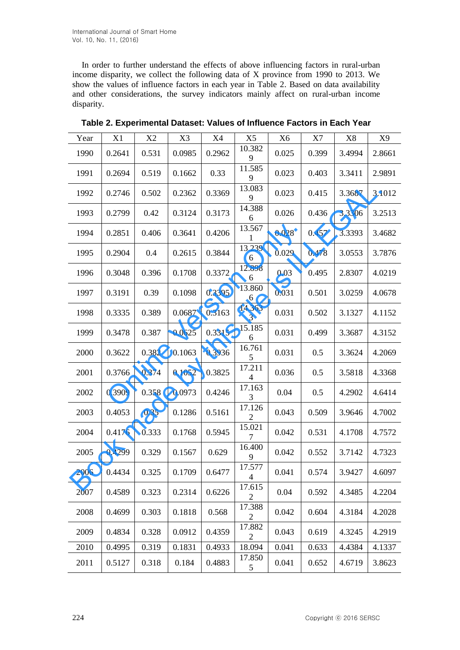In order to further understand the effects of above influencing factors in rural-urban income disparity, we collect the following data of X province from 1990 to 2013. We show the values of influence factors in each year in Table 2. Based on data availability and other considerations, the survey indicators mainly affect on rural-urban income disparity.

| Year | X1     | X2    | X3     | X4     | X <sub>5</sub>           | X <sub>6</sub> | X7    | X8     | X9     |
|------|--------|-------|--------|--------|--------------------------|----------------|-------|--------|--------|
| 1990 | 0.2641 | 0.531 | 0.0985 | 0.2962 | 10.382<br>9              | 0.025          | 0.399 | 3.4994 | 2.8661 |
| 1991 | 0.2694 | 0.519 | 0.1662 | 0.33   | 11.585<br>9              | 0.023          | 0.403 | 3.3411 | 2.9891 |
| 1992 | 0.2746 | 0.502 | 0.2362 | 0.3369 | 13.083<br>9              | 0.023          | 0.415 | 3.3687 | 3.1012 |
| 1993 | 0.2799 | 0.42  | 0.3124 | 0.3173 | 14.388<br>6              | 0.026          | 0.436 | 3.3306 | 3.2513 |
| 1994 | 0.2851 | 0.406 | 0.3641 | 0.4206 | 13.567<br>1              | 0.028          | 0.457 | 3.3393 | 3.4682 |
| 1995 | 0.2904 | 0.4   | 0.2615 | 0.3844 | 13.239<br>6              | 0.029          | 0.478 | 3.0553 | 3.7876 |
| 1996 | 0.3048 | 0.396 | 0.1708 | 0.3372 | 12.898<br>6              | 0.03           | 0.495 | 2.8307 | 4.0219 |
| 1997 | 0.3191 | 0.39  | 0.1098 | 0.3395 | 13.860<br>6              | 0.031          | 0.501 | 3.0259 | 4.0678 |
| 1998 | 0.3335 | 0.389 | 0.0687 | 0.3163 | 14.363<br>3              | 0.031          | 0.502 | 3.1327 | 4.1152 |
| 1999 | 0.3478 | 0.387 | 0.0625 | 0.3315 | 15.185<br>6              | 0.031          | 0.499 | 3.3687 | 4.3152 |
| 2000 | 0.3622 | 0.382 | 0.1063 | 0.3936 | 16.761<br>5              | 0.031          | 0.5   | 3.3624 | 4.2069 |
| 2001 | 0.3766 | 0.374 | 0.1052 | 0.3825 | 17.211<br>4              | 0.036          | 0.5   | 3.5818 | 4.3368 |
| 2002 | 0.3909 | 0.358 | 0.0973 | 0.4246 | 17.163<br>3              | 0.04           | 0.5   | 4.2902 | 4.6414 |
| 2003 | 0.4053 | 0.35  | 0.1286 | 0.5161 | 17.126<br>$\overline{c}$ | 0.043          | 0.509 | 3.9646 | 4.7002 |
| 2004 | 0.4176 | 0.333 | 0.1768 | 0.5945 | 15.021<br>7              | 0.042          | 0.531 | 4.1708 | 4.7572 |
| 2005 | 0.4299 | 0.329 | 0.1567 | 0.629  | 16.400<br>9              | 0.042          | 0.552 | 3.7142 | 4.7323 |
| 2006 | 0.4434 | 0.325 | 0.1709 | 0.6477 | 17.577<br>$\overline{4}$ | 0.041          | 0.574 | 3.9427 | 4.6097 |
| 2007 | 0.4589 | 0.323 | 0.2314 | 0.6226 | 17.615<br>$\overline{c}$ | 0.04           | 0.592 | 4.3485 | 4.2204 |
| 2008 | 0.4699 | 0.303 | 0.1818 | 0.568  | 17.388<br>$\overline{c}$ | 0.042          | 0.604 | 4.3184 | 4.2028 |
| 2009 | 0.4834 | 0.328 | 0.0912 | 0.4359 | 17.882<br>$\overline{2}$ | 0.043          | 0.619 | 4.3245 | 4.2919 |
| 2010 | 0.4995 | 0.319 | 0.1831 | 0.4933 | 18.094                   | 0.041          | 0.633 | 4.4384 | 4.1337 |
| 2011 | 0.5127 | 0.318 | 0.184  | 0.4883 | 17.850<br>5              | 0.041          | 0.652 | 4.6719 | 3.8623 |

**Table 2. Experimental Dataset: Values of Influence Factors in Each Year**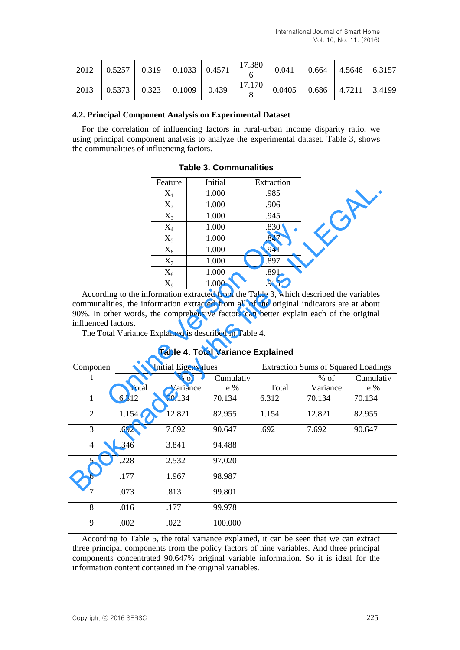| 2012 0.5257 0.319 0.1033 0.4571 $\begin{array}{ c c c c c c c c c } \hline 0.041 & 0.664 & 4.5646 & 6.3157 \ \hline \end{array}$ |  |  |  |  |  |
|----------------------------------------------------------------------------------------------------------------------------------|--|--|--|--|--|
| 2013 $\Big  0.5373 \Big  0.323 \Big  0.1009 \Big  0.439 \Big  17.170 \Big  0.0405 \Big  0.686 \Big  4.7211 \Big  3.4199$         |  |  |  |  |  |

### **4.2. Principal Component Analysis on Experimental Dataset**

For the correlation of influencing factors in rural-urban income disparity ratio, we using principal component analysis to analyze the experimental dataset. Table 3, shows the communalities of influencing factors.

|   |                                                               | Feature             | Initial   | Extraction                                                                                                                                                                                 |  |
|---|---------------------------------------------------------------|---------------------|-----------|--------------------------------------------------------------------------------------------------------------------------------------------------------------------------------------------|--|
|   |                                                               | $X_1$               | 1.000     | .985                                                                                                                                                                                       |  |
|   |                                                               | $X_2$               | 1.000     | .906                                                                                                                                                                                       |  |
|   |                                                               | $X_3$               | 1.000     | .945                                                                                                                                                                                       |  |
|   |                                                               | $X_4$               | 1.000     | .830                                                                                                                                                                                       |  |
|   |                                                               | $X_5$               | 1.000     | .847                                                                                                                                                                                       |  |
|   |                                                               | $X_6$               | 1.000     | .941                                                                                                                                                                                       |  |
|   |                                                               | $X_7$               | 1.000     | .897                                                                                                                                                                                       |  |
|   |                                                               | $X_8$               | 1.000     | .891                                                                                                                                                                                       |  |
|   |                                                               | $X_9$               | 1.000     | .915                                                                                                                                                                                       |  |
|   | d factors.<br>tal Variance Explained is described in Table 4. |                     |           | ling to the information extracted from the Table 3, which de<br>lities, the information extracted from all of the original in<br>other words, the comprehensive factors can better explain |  |
|   |                                                               |                     |           | <b>Table 4. Total Variance Explained</b>                                                                                                                                                   |  |
| n |                                                               | Initial Eigenvalues |           | <b>Extraction Su</b>                                                                                                                                                                       |  |
|   |                                                               | $%$ of              | Cumulativ |                                                                                                                                                                                            |  |
|   | Total                                                         | Variance            | e %       | Total                                                                                                                                                                                      |  |
|   | 6.312                                                         | 70.134              | 70.134    | 6.312                                                                                                                                                                                      |  |
|   |                                                               |                     |           |                                                                                                                                                                                            |  |

**Table 3. Communalities** 

**Table 4. Total Variance Explained** 

|                     |                | reatuie                    | шпиаг                                                 | exuacuon                                                                                                                                                                                                                                                                      |                                            |               |
|---------------------|----------------|----------------------------|-------------------------------------------------------|-------------------------------------------------------------------------------------------------------------------------------------------------------------------------------------------------------------------------------------------------------------------------------|--------------------------------------------|---------------|
|                     |                | $X_1$                      | 1.000                                                 | .985                                                                                                                                                                                                                                                                          |                                            |               |
|                     |                | $X_2$                      | 1.000                                                 | .906                                                                                                                                                                                                                                                                          |                                            |               |
|                     |                | $X_3$                      | 1.000                                                 | .945                                                                                                                                                                                                                                                                          |                                            |               |
|                     |                | $X_4$                      | 1.000                                                 | .830                                                                                                                                                                                                                                                                          |                                            |               |
|                     |                | $X_5$                      | 1.000                                                 | .847                                                                                                                                                                                                                                                                          |                                            |               |
|                     |                | $X_6$                      | 1.000                                                 | .941                                                                                                                                                                                                                                                                          |                                            |               |
|                     |                | $X_7$                      | 1.000                                                 | .897                                                                                                                                                                                                                                                                          |                                            |               |
|                     |                | $\rm X_8$                  | 1.000                                                 | .891                                                                                                                                                                                                                                                                          |                                            |               |
|                     |                | $X_9$                      | 1.000                                                 | .915                                                                                                                                                                                                                                                                          |                                            |               |
| influenced factors. |                |                            | The Total Variance Explained is described in Table 4. | According to the information extracted from the Table 3, which described the variables<br>communalities, the information extracted from all of the original indicators are at about<br>90%. In other words, the comprehensive factors can better explain each of the original |                                            |               |
|                     |                |                            |                                                       |                                                                                                                                                                                                                                                                               |                                            |               |
|                     |                |                            |                                                       | <b>Table 4. Total Variance Explained</b>                                                                                                                                                                                                                                      |                                            |               |
| Componen<br>t       |                | <b>Initial Eigenvalues</b> |                                                       |                                                                                                                                                                                                                                                                               | <b>Extraction Sums of Squared Loadings</b> |               |
|                     |                | $%$ of                     | Cumulativ                                             |                                                                                                                                                                                                                                                                               | $%$ of                                     | Cumulativ     |
| $\mathbf{1}$        | Total<br>6.312 | Variance<br>70.134         | e %<br>70.134                                         | Total<br>6.312                                                                                                                                                                                                                                                                | Variance<br>70.134                         | e %<br>70.134 |
| $\overline{2}$      | 1.154          | 12.821                     | 82.955                                                | 1.154                                                                                                                                                                                                                                                                         | 12.821                                     | 82.955        |
| $\overline{3}$      | .692           | 7.692                      | 90.647                                                | .692                                                                                                                                                                                                                                                                          | 7.692                                      | 90.647        |
| $\overline{4}$      | .346           | 3.841                      | 94.488                                                |                                                                                                                                                                                                                                                                               |                                            |               |
| 5                   | .228           | 2.532                      | 97.020                                                |                                                                                                                                                                                                                                                                               |                                            |               |
| 6                   | .177           | 1.967                      | 98.987                                                |                                                                                                                                                                                                                                                                               |                                            |               |
| $\overline{7}$      | .073           | .813                       | 99.801                                                |                                                                                                                                                                                                                                                                               |                                            |               |
| 8                   | .016           | .177                       | 99.978                                                |                                                                                                                                                                                                                                                                               |                                            |               |

According to Table 5, the total variance explained, it can be seen that we can extract three principal components from the policy factors of nine variables. And three principal components concentrated 90.647% original variable information. So it is ideal for the information content contained in the original variables.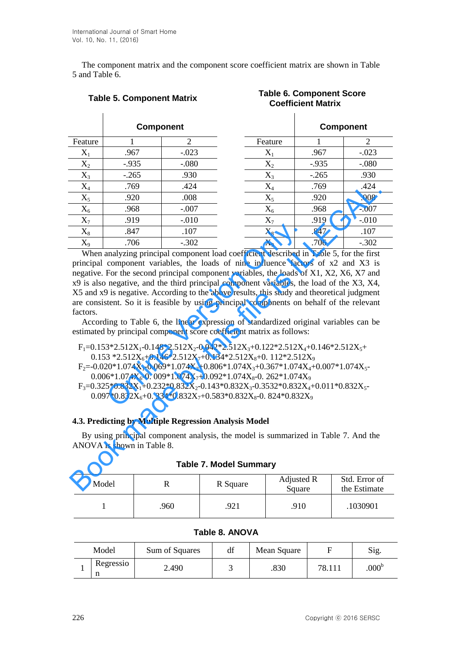The component matrix and the component score coefficient matrix are shown in Table 5 and Table 6.

|                                                                                                                                                                                                                                                                                                                                                                                                                                                                                                                                                                                                                                                                                                                                                                                                                                                                                                                                                                                                                                                                                                                                                                                                                                                                                                                                                                                                                                                                             |          | <b>Component</b> |                |                               |  |         |                      | <b>Component</b>              |
|-----------------------------------------------------------------------------------------------------------------------------------------------------------------------------------------------------------------------------------------------------------------------------------------------------------------------------------------------------------------------------------------------------------------------------------------------------------------------------------------------------------------------------------------------------------------------------------------------------------------------------------------------------------------------------------------------------------------------------------------------------------------------------------------------------------------------------------------------------------------------------------------------------------------------------------------------------------------------------------------------------------------------------------------------------------------------------------------------------------------------------------------------------------------------------------------------------------------------------------------------------------------------------------------------------------------------------------------------------------------------------------------------------------------------------------------------------------------------------|----------|------------------|----------------|-------------------------------|--|---------|----------------------|-------------------------------|
| Feature                                                                                                                                                                                                                                                                                                                                                                                                                                                                                                                                                                                                                                                                                                                                                                                                                                                                                                                                                                                                                                                                                                                                                                                                                                                                                                                                                                                                                                                                     | 1        |                  | $\overline{2}$ |                               |  | Feature | 1                    | 2                             |
| $X_1$                                                                                                                                                                                                                                                                                                                                                                                                                                                                                                                                                                                                                                                                                                                                                                                                                                                                                                                                                                                                                                                                                                                                                                                                                                                                                                                                                                                                                                                                       | .967     |                  | $-.023$        |                               |  | $X_1$   | .967                 | $-.023$                       |
| $X_2$                                                                                                                                                                                                                                                                                                                                                                                                                                                                                                                                                                                                                                                                                                                                                                                                                                                                                                                                                                                                                                                                                                                                                                                                                                                                                                                                                                                                                                                                       | $-0.935$ |                  | $-0.080$       |                               |  | $X_2$   | $-0.935$             | $-.080$                       |
| $X_3$                                                                                                                                                                                                                                                                                                                                                                                                                                                                                                                                                                                                                                                                                                                                                                                                                                                                                                                                                                                                                                                                                                                                                                                                                                                                                                                                                                                                                                                                       | $-.265$  |                  | .930           |                               |  | $X_3$   | $-.265$              | .930                          |
| $X_4$                                                                                                                                                                                                                                                                                                                                                                                                                                                                                                                                                                                                                                                                                                                                                                                                                                                                                                                                                                                                                                                                                                                                                                                                                                                                                                                                                                                                                                                                       | .769     |                  | .424           |                               |  | $X_4$   | .769                 | .424                          |
| $X_5$                                                                                                                                                                                                                                                                                                                                                                                                                                                                                                                                                                                                                                                                                                                                                                                                                                                                                                                                                                                                                                                                                                                                                                                                                                                                                                                                                                                                                                                                       | .920     |                  | .008           |                               |  | $X_5$   | .920                 | .008                          |
| $X_6$                                                                                                                                                                                                                                                                                                                                                                                                                                                                                                                                                                                                                                                                                                                                                                                                                                                                                                                                                                                                                                                                                                                                                                                                                                                                                                                                                                                                                                                                       | .968     |                  | $-.007$        |                               |  | $X_6$   | .968                 | $-.007$                       |
| $X_7$                                                                                                                                                                                                                                                                                                                                                                                                                                                                                                                                                                                                                                                                                                                                                                                                                                                                                                                                                                                                                                                                                                                                                                                                                                                                                                                                                                                                                                                                       | .919     |                  | $-0.010$       |                               |  | $X_7$   | .919                 | $-.010$                       |
| $X_8$                                                                                                                                                                                                                                                                                                                                                                                                                                                                                                                                                                                                                                                                                                                                                                                                                                                                                                                                                                                                                                                                                                                                                                                                                                                                                                                                                                                                                                                                       | .847     |                  | .107           |                               |  | $X_8$   | .847                 | .107                          |
| $X_9$                                                                                                                                                                                                                                                                                                                                                                                                                                                                                                                                                                                                                                                                                                                                                                                                                                                                                                                                                                                                                                                                                                                                                                                                                                                                                                                                                                                                                                                                       |          |                  | $-.302$        |                               |  |         | .706                 | $-.302$                       |
| $X_9$<br>.706<br>When analyzing principal component load coefficient described in Table 5, for the first<br>principal component variables, the loads of nine influence factors of x2 and X3 is<br>negative. For the second principal component variables, the loads of X1, X2, X6, X7 and<br>x9 is also negative, and the third principal component variables, the load of the X3, X4,<br>X5 and x9 is negative. According to the above results, this study and theoretical judgment<br>are consistent. So it is feasible by using principal components on behalf of the relevant<br>factors.<br>According to Table 6, the linear expression of standardized original variables can be<br>estimated by principal component score coefficient matrix as follows:<br>$F_1=0.153*2.512X_1-0.148*2.512X_2-0.042*2.512X_3+0.122*2.512X_4+0.146*2.512X_5+$<br>$0.153 * 2.512X_6 + 0.146 * 2.512X_7 + 0.134 * 2.512X_8 + 0.112 * 2.512X_9$<br>$F_2=0.020*1.074X_1-0.069*1.074X_2+0.806*1.074X_3+0.367*1.074X_4+0.007*1.074X_5-$<br>$0.006*1.074X_{6}$ -0.009*1.074X <sub>7</sub> +0.092*1.074X <sub>8</sub> -0.262*1.074X <sub>9</sub><br>$F_3=0.325*0.832X_1+0.232*0.832X_2-0.143*0.832X_3-0.3532*0.832X_4+0.011*0.832X_5-0.832X_6$<br>$0.097*0.832X_6+0.334*0.832X_7+0.583*0.832X_8-0.824*0.832X_9$<br>4.3. Predicting by Multiple Regression Analysis Model<br>By using principal component analysis, the model is summarized in Table 7. And the<br>ANOVA is shown in Table 8. |          |                  |                |                               |  |         |                      |                               |
|                                                                                                                                                                                                                                                                                                                                                                                                                                                                                                                                                                                                                                                                                                                                                                                                                                                                                                                                                                                                                                                                                                                                                                                                                                                                                                                                                                                                                                                                             |          |                  |                | <b>Table 7. Model Summary</b> |  |         |                      |                               |
|                                                                                                                                                                                                                                                                                                                                                                                                                                                                                                                                                                                                                                                                                                                                                                                                                                                                                                                                                                                                                                                                                                                                                                                                                                                                                                                                                                                                                                                                             | Model    |                  | $\mathbb{R}$   | R Square                      |  |         | Adjusted R<br>Square | Std. Error of<br>the Estimate |

**Table 5. Component Matrix Table 6. Component Score Coefficient Matrix**

# **4.3. Predicting by Multiple Regression Analysis Model**

| Model |     | R Square | Adjusted R<br>Square | Std. Error of<br>the Estimate |
|-------|-----|----------|----------------------|-------------------------------|
|       | 960 | 921      | .910                 | .1030901                      |

| Table 8. ANOVA |  |
|----------------|--|
|----------------|--|

| Model     | Sum of Squares | df | Mean Square |        | Sig.             |
|-----------|----------------|----|-------------|--------|------------------|
| Regressio | 2.490          |    | .830        | 78.111 | 000 <sup>b</sup> |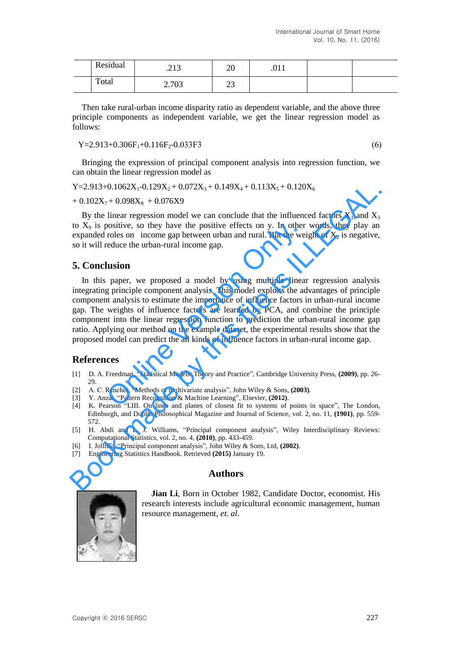| Residual | $\mathbf{1} \mathbf{1}$<br>ر 1 گ | ጎሰ<br>∠∪ | .U 1 1 |  |
|----------|----------------------------------|----------|--------|--|
| Total    | 2.702<br>$\angle$ . I UJ         | ົ<br>ر_ر |        |  |

Then take rural-urban income disparity ratio as dependent variable, and the above three principle components as independent variable, we get the linear regression model as follows:

 $Y=2.913+0.306F_1+0.116F_2-0.033F3$  (6)

Bringing the expression of principal component analysis into regression function, we can obtain the linear regression model as

 $Y=2.913+0.1062X_1-0.129X_2+0.072X_3+0.149X_4+0.113X_5+0.120X_6$ 

 $+ 0.102X_7 + 0.098X_8 + 0.076X9$ 

By the linear regression model we can conclude that the influenced factors  $X_1$  and  $X_3$ to  $X_9$  is positive, so they have the positive effects on y. In other words, they play an expanded roles on income gap between urban and rural. But the weight of  $X_2$  is negative, so it will reduce the urban-rural income gap.

# **5. Conclusion**

In this paper, we proposed a model by using multiple linear regression analysis integrating principle component analysis. This model exploits the advantages of principle component analysis to estimate the importance of influence factors in urban-rural income gap. The weights of influence factors are learned by PCA, and combine the principle component into the linear regression function to prediction the urban-rural income gap ratio. Applying our method on the example dataset, the experimental results show that the proposed model can predict the all kinds of influence factors in urban-rural income gap. by have the positive effects on y. In other<br>roles on income gap between urban and rural. But the wei<br>reduce the urban-rural income gap.<br>**lusion**<br>paper, we proposed a model by using multiple linear<br>g principle component ana Y=2.91340.1062X<sub>1</sub>-0.129X<sub>3</sub>+0.172X<sub>3</sub>+0.149X<sub>4</sub>+0.113X<sub>5</sub>+0.120X<sub>6</sub><br>
+0.102X<sub>7</sub>+0.098X<sub>8</sub> +0.076X9<br>
By the linear regression model we can conclude that the influenced factors X<sub>1</sub> and X<sub>3</sub><br>
By the linear regression model

# **References**

- [1] D. A. Freedman, "Statistical Models: Theory and Practice", Cambridge University Press, **(2009)**, pp. 26- 29.
- [2] A. C. Rencher, "Methods of multivariate analysis", John Wiley & Sons, **(2003)**.
- [3] Y. Anzai, "Pattern Recognition & Machine Learning", Elsevier, **(2012)**.
- [4] K. Pearson "LIII. On lines and planes of closest fit to systems of points in space", The London, Edinburgh, and Dublin Philosophical Magazine and Journal of Science, vol. 2, no. 11, **(1901)**, pp. 559- 572.
- [5] H. Abdi and L. J. Williams, "Principal component analysis", Wiley Interdisciplinary Reviews: Computational Statistics, vol. 2, no. 4, **(2010)**, pp. 433-459.
- [6] I. Jolliffe, "Principal component analysis", John Wiley & Sons, Ltd, **(2002)**.
- [7] Engineering Statistics Handbook. Retrieved **(2015)** January 19.

# **Authors**

**Jian Li**, Born in October 1982, Candidate Doctor, economist. His research interests include agricultural economic management, human resource management, *et. al*.